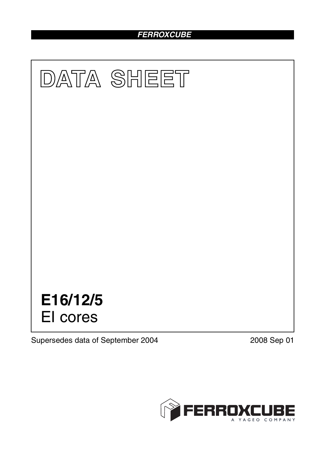# *FERROXCUBE*



Supersedes data of September 2004 2008 Sep 01

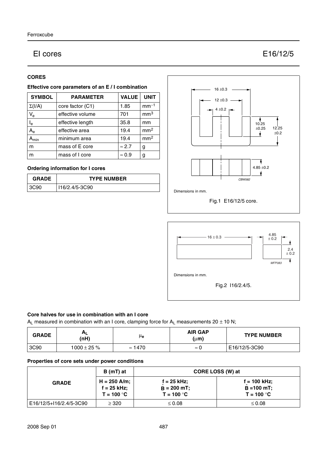# EI cores E16/12/5

# **CORES**

# **Effective core parameters of an E / I combination**

| <b>SYMBOL</b>           | <b>PARAMETER</b> | <b>VALUE</b>  | <b>UNIT</b>     |
|-------------------------|------------------|---------------|-----------------|
| $\Sigma(I/A)$           | core factor (C1) | 1.85          | $mm-1$          |
| $V_{e}$                 | effective volume | 701           | mm <sup>3</sup> |
| $\mathsf{l}_\mathsf{e}$ | effective length | 35.8          | mm              |
| $A_{\rm e}$             | effective area   | 19.4          | mm <sup>2</sup> |
| <b>\</b> min            | minimum area     | 19.4          | mm <sup>2</sup> |
| m                       | mass of E core   | $\approx$ 2.7 | g               |
| m                       | mass of I core   | $\approx 0.9$ | g               |

# **Ordering information for I cores**

| <b>GRADE</b> | <b>TYPE NUMBER</b> |  |
|--------------|--------------------|--|
| 3C90         | I16/2.4/5-3C90     |  |





#### **Core halves for use in combination with an I core**

 $A_L$  measured in combination with an I core, clamping force for  $A_L$  measurements 20  $\pm$  10 N;

| <b>GRADE</b> | Αı<br>(nH)       | μe             | <b>AIR GAP</b><br>$(\mu m)$ | <b>TYPE NUMBER</b> |
|--------------|------------------|----------------|-----------------------------|--------------------|
| 3C90         | $1000 \pm 25 \%$ | $\approx$ 1470 | $\approx$                   | E16/12/5-3C90      |

# **Properties of core sets under power conditions**

| <b>GRADE</b>            | B (mT) at                                       | CORE LOSS (W) at                               |                                                 |  |
|-------------------------|-------------------------------------------------|------------------------------------------------|-------------------------------------------------|--|
|                         | $H = 250$ A/m;<br>$f = 25$ kHz;<br>$T = 100 °C$ | $f = 25$ kHz;<br>$B = 200$ mT;<br>$T = 100 °C$ | $f = 100$ kHz;<br>$B = 100$ mT;<br>$T = 100 °C$ |  |
| E16/12/5+I16/2.4/5-3C90 | $\geq$ 320                                      | $\leq 0.08$                                    | $\leq 0.08$                                     |  |